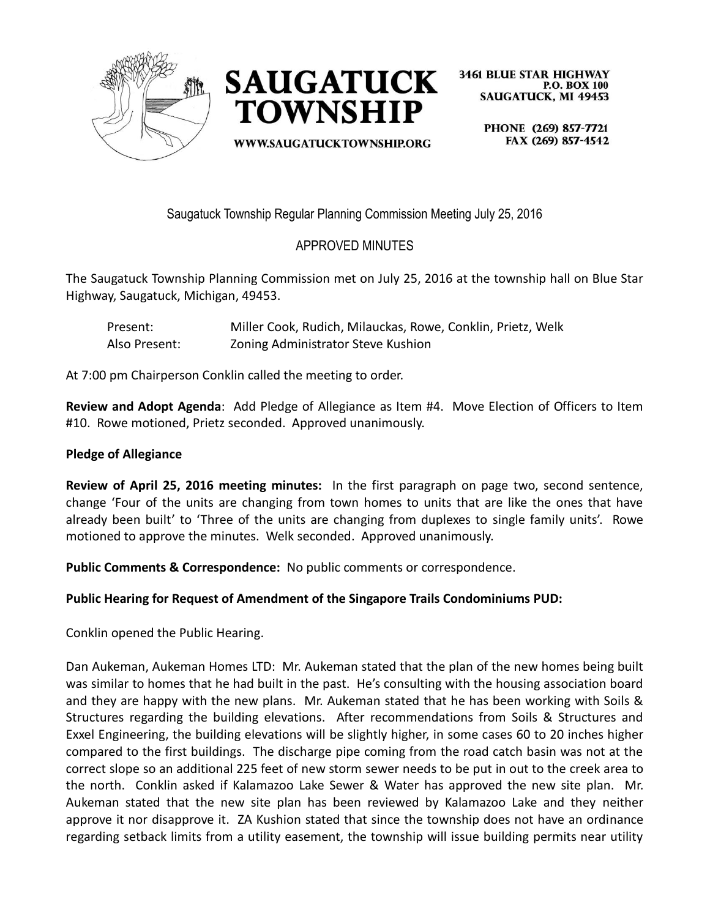



**WWW.SAUGATUCKTOWNSHIP.ORG** 

**3461 BLUE STAR HIGHWAY P.O. BOX 100 SAUGATUCK, MI 49453** 

> PHONE (269) 857-7721 FAX (269) 857-4542

Saugatuck Township Regular Planning Commission Meeting July 25, 2016

# APPROVED MINUTES

The Saugatuck Township Planning Commission met on July 25, 2016 at the township hall on Blue Star Highway, Saugatuck, Michigan, 49453.

Present: Miller Cook, Rudich, Milauckas, Rowe, Conklin, Prietz, Welk Also Present: Zoning Administrator Steve Kushion

At 7:00 pm Chairperson Conklin called the meeting to order.

**Review and Adopt Agenda**: Add Pledge of Allegiance as Item #4. Move Election of Officers to Item #10. Rowe motioned, Prietz seconded. Approved unanimously.

### **Pledge of Allegiance**

**Review of April 25, 2016 meeting minutes:** In the first paragraph on page two, second sentence, change 'Four of the units are changing from town homes to units that are like the ones that have already been built' to 'Three of the units are changing from duplexes to single family units'. Rowe motioned to approve the minutes. Welk seconded. Approved unanimously.

**Public Comments & Correspondence:** No public comments or correspondence.

## **Public Hearing for Request of Amendment of the Singapore Trails Condominiums PUD:**

Conklin opened the Public Hearing.

Dan Aukeman, Aukeman Homes LTD: Mr. Aukeman stated that the plan of the new homes being built was similar to homes that he had built in the past. He's consulting with the housing association board and they are happy with the new plans. Mr. Aukeman stated that he has been working with Soils & Structures regarding the building elevations. After recommendations from Soils & Structures and Exxel Engineering, the building elevations will be slightly higher, in some cases 60 to 20 inches higher compared to the first buildings. The discharge pipe coming from the road catch basin was not at the correct slope so an additional 225 feet of new storm sewer needs to be put in out to the creek area to the north. Conklin asked if Kalamazoo Lake Sewer & Water has approved the new site plan. Mr. Aukeman stated that the new site plan has been reviewed by Kalamazoo Lake and they neither approve it nor disapprove it. ZA Kushion stated that since the township does not have an ordinance regarding setback limits from a utility easement, the township will issue building permits near utility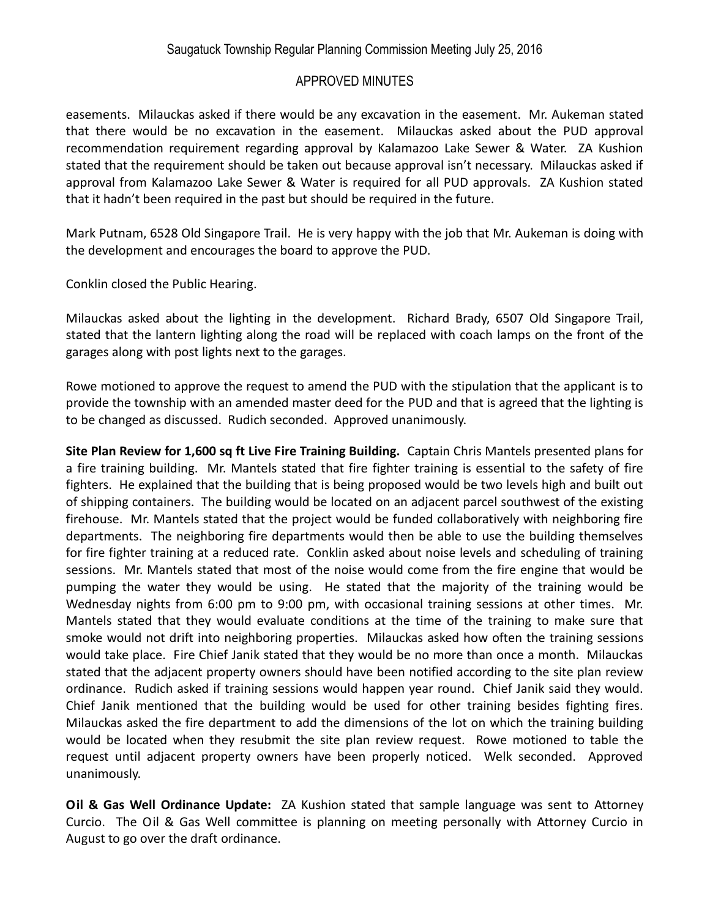### APPROVED MINUTES

easements. Milauckas asked if there would be any excavation in the easement. Mr. Aukeman stated that there would be no excavation in the easement. Milauckas asked about the PUD approval recommendation requirement regarding approval by Kalamazoo Lake Sewer & Water. ZA Kushion stated that the requirement should be taken out because approval isn't necessary. Milauckas asked if approval from Kalamazoo Lake Sewer & Water is required for all PUD approvals. ZA Kushion stated that it hadn't been required in the past but should be required in the future.

Mark Putnam, 6528 Old Singapore Trail. He is very happy with the job that Mr. Aukeman is doing with the development and encourages the board to approve the PUD.

Conklin closed the Public Hearing.

Milauckas asked about the lighting in the development. Richard Brady, 6507 Old Singapore Trail, stated that the lantern lighting along the road will be replaced with coach lamps on the front of the garages along with post lights next to the garages.

Rowe motioned to approve the request to amend the PUD with the stipulation that the applicant is to provide the township with an amended master deed for the PUD and that is agreed that the lighting is to be changed as discussed. Rudich seconded. Approved unanimously.

**Site Plan Review for 1,600 sq ft Live Fire Training Building.** Captain Chris Mantels presented plans for a fire training building. Mr. Mantels stated that fire fighter training is essential to the safety of fire fighters. He explained that the building that is being proposed would be two levels high and built out of shipping containers. The building would be located on an adjacent parcel southwest of the existing firehouse. Mr. Mantels stated that the project would be funded collaboratively with neighboring fire departments. The neighboring fire departments would then be able to use the building themselves for fire fighter training at a reduced rate. Conklin asked about noise levels and scheduling of training sessions. Mr. Mantels stated that most of the noise would come from the fire engine that would be pumping the water they would be using. He stated that the majority of the training would be Wednesday nights from 6:00 pm to 9:00 pm, with occasional training sessions at other times. Mr. Mantels stated that they would evaluate conditions at the time of the training to make sure that smoke would not drift into neighboring properties. Milauckas asked how often the training sessions would take place. Fire Chief Janik stated that they would be no more than once a month. Milauckas stated that the adjacent property owners should have been notified according to the site plan review ordinance. Rudich asked if training sessions would happen year round. Chief Janik said they would. Chief Janik mentioned that the building would be used for other training besides fighting fires. Milauckas asked the fire department to add the dimensions of the lot on which the training building would be located when they resubmit the site plan review request. Rowe motioned to table the request until adjacent property owners have been properly noticed. Welk seconded. Approved unanimously.

**Oil & Gas Well Ordinance Update:** ZA Kushion stated that sample language was sent to Attorney Curcio. The Oil & Gas Well committee is planning on meeting personally with Attorney Curcio in August to go over the draft ordinance.